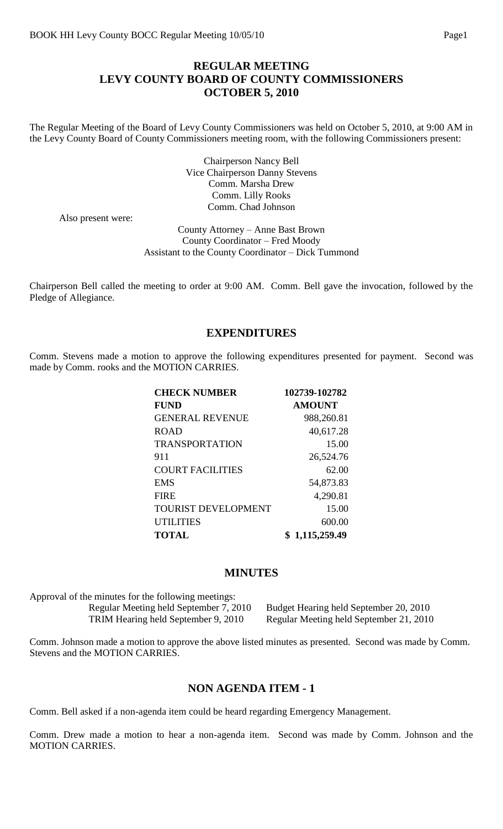# **REGULAR MEETING LEVY COUNTY BOARD OF COUNTY COMMISSIONERS OCTOBER 5, 2010**

The Regular Meeting of the Board of Levy County Commissioners was held on October 5, 2010, at 9:00 AM in the Levy County Board of County Commissioners meeting room, with the following Commissioners present:

> Chairperson Nancy Bell Vice Chairperson Danny Stevens Comm. Marsha Drew Comm. Lilly Rooks Comm. Chad Johnson

Also present were:

County Attorney – Anne Bast Brown County Coordinator – Fred Moody Assistant to the County Coordinator – Dick Tummond

Chairperson Bell called the meeting to order at 9:00 AM. Comm. Bell gave the invocation, followed by the Pledge of Allegiance.

#### **EXPENDITURES**

Comm. Stevens made a motion to approve the following expenditures presented for payment. Second was made by Comm. rooks and the MOTION CARRIES.

| 102739-102782 |
|---------------|
| <b>AMOUNT</b> |
| 988,260.81    |
| 40,617.28     |
| 15.00         |
| 26,524.76     |
| 62.00         |
| 54,873.83     |
| 4,290.81      |
| 15.00         |
| 600.00        |
| 1,115,259.49  |
|               |

#### **MINUTES**

| Approval of the minutes for the following meetings: |
|-----------------------------------------------------|
| Regular Meeting held September 7, 2010              |
| TRIM Hearing held September 9, 2010                 |

0 Budget Hearing held September 20, 2010 Regular Meeting held September 21, 2010

Comm. Johnson made a motion to approve the above listed minutes as presented. Second was made by Comm. Stevens and the MOTION CARRIES.

#### **NON AGENDA ITEM - 1**

Comm. Bell asked if a non-agenda item could be heard regarding Emergency Management.

Comm. Drew made a motion to hear a non-agenda item. Second was made by Comm. Johnson and the MOTION CARRIES.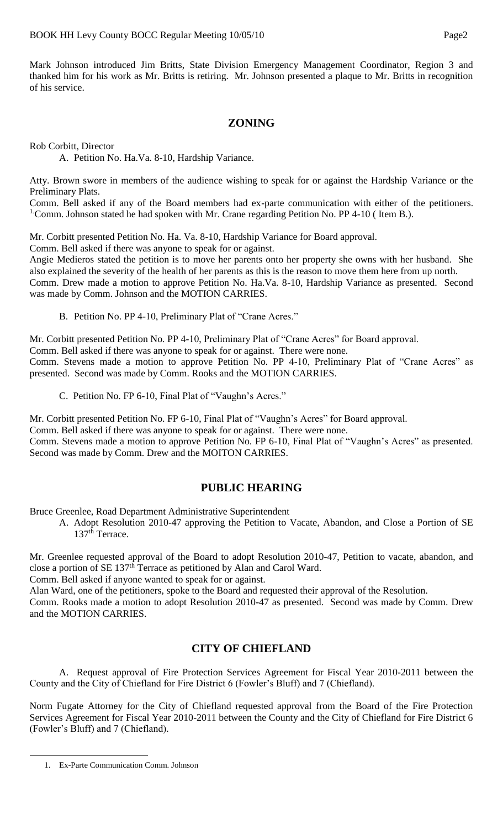Mark Johnson introduced Jim Britts, State Division Emergency Management Coordinator, Region 3 and thanked him for his work as Mr. Britts is retiring. Mr. Johnson presented a plaque to Mr. Britts in recognition of his service.

# **ZONING**

Rob Corbitt, Director

A. Petition No. Ha.Va. 8-10, Hardship Variance.

Atty. Brown swore in members of the audience wishing to speak for or against the Hardship Variance or the Preliminary Plats.

Comm. Bell asked if any of the Board members had ex-parte communication with either of the petitioners. <sup>1</sup> Comm. Johnson stated he had spoken with Mr. Crane regarding Petition No. PP 4-10 (Item B.).

Mr. Corbitt presented Petition No. Ha. Va. 8-10, Hardship Variance for Board approval.

Comm. Bell asked if there was anyone to speak for or against.

Angie Medieros stated the petition is to move her parents onto her property she owns with her husband. She also explained the severity of the health of her parents as this is the reason to move them here from up north. Comm. Drew made a motion to approve Petition No. Ha.Va. 8-10, Hardship Variance as presented. Second was made by Comm. Johnson and the MOTION CARRIES.

B. Petition No. PP 4-10, Preliminary Plat of "Crane Acres."

Mr. Corbitt presented Petition No. PP 4-10, Preliminary Plat of "Crane Acres" for Board approval.

Comm. Bell asked if there was anyone to speak for or against. There were none.

Comm. Stevens made a motion to approve Petition No. PP 4-10, Preliminary Plat of "Crane Acres" as presented. Second was made by Comm. Rooks and the MOTION CARRIES.

C. Petition No. FP 6-10, Final Plat of "Vaughn's Acres."

Mr. Corbitt presented Petition No. FP 6-10, Final Plat of "Vaughn's Acres" for Board approval.

Comm. Bell asked if there was anyone to speak for or against. There were none.

Comm. Stevens made a motion to approve Petition No. FP 6-10, Final Plat of "Vaughn's Acres" as presented. Second was made by Comm. Drew and the MOITON CARRIES.

## **PUBLIC HEARING**

Bruce Greenlee, Road Department Administrative Superintendent

A. Adopt Resolution 2010-47 approving the Petition to Vacate, Abandon, and Close a Portion of SE 137<sup>th</sup> Terrace.

Mr. Greenlee requested approval of the Board to adopt Resolution 2010-47, Petition to vacate, abandon, and close a portion of SE 137th Terrace as petitioned by Alan and Carol Ward.

Comm. Bell asked if anyone wanted to speak for or against.

Alan Ward, one of the petitioners, spoke to the Board and requested their approval of the Resolution.

Comm. Rooks made a motion to adopt Resolution 2010-47 as presented. Second was made by Comm. Drew and the MOTION CARRIES.

# **CITY OF CHIEFLAND**

A. Request approval of Fire Protection Services Agreement for Fiscal Year 2010-2011 between the County and the City of Chiefland for Fire District 6 (Fowler's Bluff) and 7 (Chiefland).

Norm Fugate Attorney for the City of Chiefland requested approval from the Board of the Fire Protection Services Agreement for Fiscal Year 2010-2011 between the County and the City of Chiefland for Fire District 6 (Fowler's Bluff) and 7 (Chiefland).

 $\overline{a}$ 

<sup>1.</sup> Ex-Parte Communication Comm. Johnson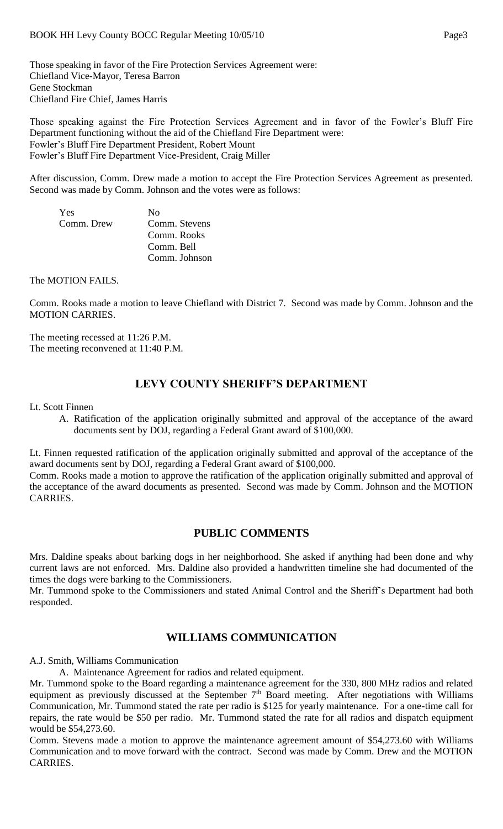Those speaking in favor of the Fire Protection Services Agreement were: Chiefland Vice-Mayor, Teresa Barron Gene Stockman Chiefland Fire Chief, James Harris

Those speaking against the Fire Protection Services Agreement and in favor of the Fowler's Bluff Fire Department functioning without the aid of the Chiefland Fire Department were: Fowler's Bluff Fire Department President, Robert Mount Fowler's Bluff Fire Department Vice-President, Craig Miller

After discussion, Comm. Drew made a motion to accept the Fire Protection Services Agreement as presented. Second was made by Comm. Johnson and the votes were as follows:

| <b>Yes</b> | No            |
|------------|---------------|
| Comm. Drew | Comm. Stevens |
|            | Comm. Rooks   |
|            | Comm. Bell    |
|            | Comm. Johnson |

The MOTION FAILS.

Comm. Rooks made a motion to leave Chiefland with District 7. Second was made by Comm. Johnson and the MOTION CARRIES.

The meeting recessed at 11:26 P.M. The meeting reconvened at 11:40 P.M.

## **LEVY COUNTY SHERIFF'S DEPARTMENT**

Lt. Scott Finnen

A. Ratification of the application originally submitted and approval of the acceptance of the award documents sent by DOJ, regarding a Federal Grant award of \$100,000.

Lt. Finnen requested ratification of the application originally submitted and approval of the acceptance of the award documents sent by DOJ, regarding a Federal Grant award of \$100,000.

Comm. Rooks made a motion to approve the ratification of the application originally submitted and approval of the acceptance of the award documents as presented. Second was made by Comm. Johnson and the MOTION CARRIES.

## **PUBLIC COMMENTS**

Mrs. Daldine speaks about barking dogs in her neighborhood. She asked if anything had been done and why current laws are not enforced. Mrs. Daldine also provided a handwritten timeline she had documented of the times the dogs were barking to the Commissioners.

Mr. Tummond spoke to the Commissioners and stated Animal Control and the Sheriff's Department had both responded.

## **WILLIAMS COMMUNICATION**

A.J. Smith, Williams Communication

A. Maintenance Agreement for radios and related equipment.

Mr. Tummond spoke to the Board regarding a maintenance agreement for the 330, 800 MHz radios and related equipment as previously discussed at the September 7<sup>th</sup> Board meeting. After negotiations with Williams Communication, Mr. Tummond stated the rate per radio is \$125 for yearly maintenance. For a one-time call for repairs, the rate would be \$50 per radio. Mr. Tummond stated the rate for all radios and dispatch equipment would be \$54,273.60.

Comm. Stevens made a motion to approve the maintenance agreement amount of \$54,273.60 with Williams Communication and to move forward with the contract. Second was made by Comm. Drew and the MOTION CARRIES.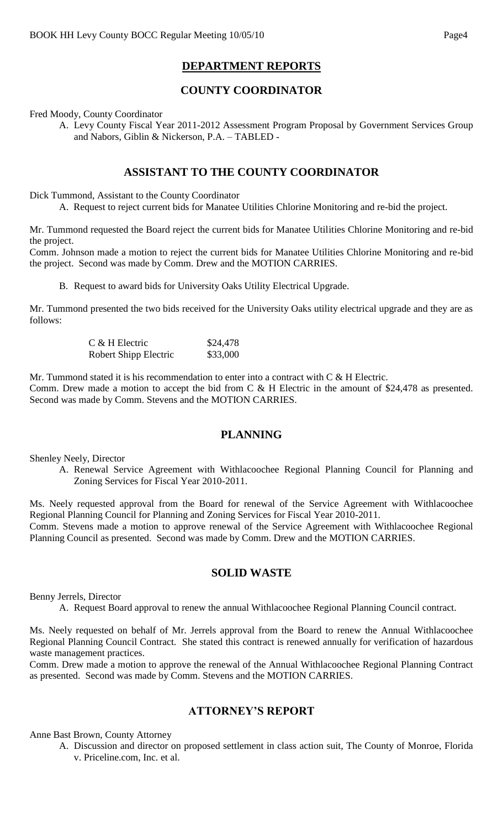# **DEPARTMENT REPORTS**

# **COUNTY COORDINATOR**

Fred Moody, County Coordinator

A. Levy County Fiscal Year 2011-2012 Assessment Program Proposal by Government Services Group and Nabors, Giblin & Nickerson, P.A. – TABLED -

## **ASSISTANT TO THE COUNTY COORDINATOR**

Dick Tummond, Assistant to the County Coordinator

A. Request to reject current bids for Manatee Utilities Chlorine Monitoring and re-bid the project.

Mr. Tummond requested the Board reject the current bids for Manatee Utilities Chlorine Monitoring and re-bid the project.

Comm. Johnson made a motion to reject the current bids for Manatee Utilities Chlorine Monitoring and re-bid the project. Second was made by Comm. Drew and the MOTION CARRIES.

B. Request to award bids for University Oaks Utility Electrical Upgrade.

Mr. Tummond presented the two bids received for the University Oaks utility electrical upgrade and they are as follows:

| $C$ & H Electric      | \$24,478 |
|-----------------------|----------|
| Robert Shipp Electric | \$33,000 |

Mr. Tummond stated it is his recommendation to enter into a contract with  $C \& H$  Electric. Comm. Drew made a motion to accept the bid from C & H Electric in the amount of \$24,478 as presented. Second was made by Comm. Stevens and the MOTION CARRIES.

### **PLANNING**

Shenley Neely, Director

A. Renewal Service Agreement with Withlacoochee Regional Planning Council for Planning and Zoning Services for Fiscal Year 2010-2011.

Ms. Neely requested approval from the Board for renewal of the Service Agreement with Withlacoochee Regional Planning Council for Planning and Zoning Services for Fiscal Year 2010-2011. Comm. Stevens made a motion to approve renewal of the Service Agreement with Withlacoochee Regional Planning Council as presented. Second was made by Comm. Drew and the MOTION CARRIES.

### **SOLID WASTE**

Benny Jerrels, Director

A. Request Board approval to renew the annual Withlacoochee Regional Planning Council contract.

Ms. Neely requested on behalf of Mr. Jerrels approval from the Board to renew the Annual Withlacoochee Regional Planning Council Contract. She stated this contract is renewed annually for verification of hazardous waste management practices.

Comm. Drew made a motion to approve the renewal of the Annual Withlacoochee Regional Planning Contract as presented. Second was made by Comm. Stevens and the MOTION CARRIES.

## **ATTORNEY'S REPORT**

Anne Bast Brown, County Attorney

A. Discussion and director on proposed settlement in class action suit, The County of Monroe, Florida v. Priceline.com, Inc. et al.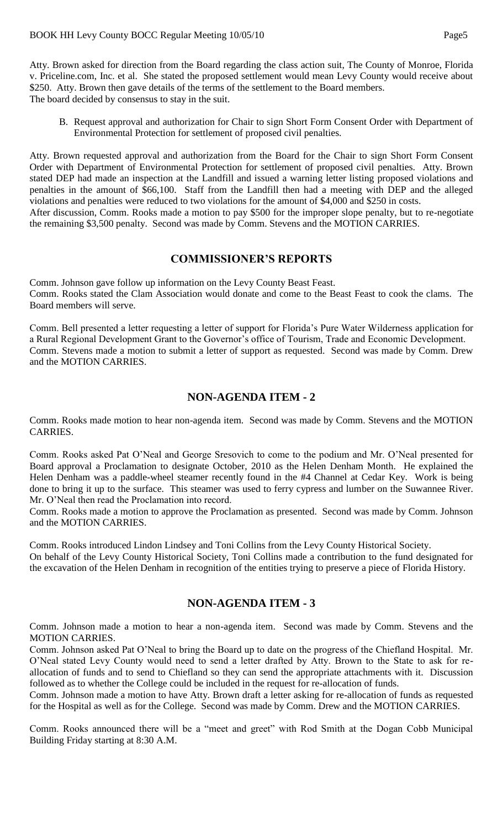Atty. Brown asked for direction from the Board regarding the class action suit, The County of Monroe, Florida v. Priceline.com, Inc. et al. She stated the proposed settlement would mean Levy County would receive about \$250. Atty. Brown then gave details of the terms of the settlement to the Board members. The board decided by consensus to stay in the suit.

B. Request approval and authorization for Chair to sign Short Form Consent Order with Department of Environmental Protection for settlement of proposed civil penalties.

Atty. Brown requested approval and authorization from the Board for the Chair to sign Short Form Consent Order with Department of Environmental Protection for settlement of proposed civil penalties. Atty. Brown stated DEP had made an inspection at the Landfill and issued a warning letter listing proposed violations and penalties in the amount of \$66,100. Staff from the Landfill then had a meeting with DEP and the alleged violations and penalties were reduced to two violations for the amount of \$4,000 and \$250 in costs. After discussion, Comm. Rooks made a motion to pay \$500 for the improper slope penalty, but to re-negotiate

## **COMMISSIONER'S REPORTS**

the remaining \$3,500 penalty. Second was made by Comm. Stevens and the MOTION CARRIES.

Comm. Johnson gave follow up information on the Levy County Beast Feast. Comm. Rooks stated the Clam Association would donate and come to the Beast Feast to cook the clams. The Board members will serve.

Comm. Bell presented a letter requesting a letter of support for Florida's Pure Water Wilderness application for a Rural Regional Development Grant to the Governor's office of Tourism, Trade and Economic Development. Comm. Stevens made a motion to submit a letter of support as requested. Second was made by Comm. Drew and the MOTION CARRIES.

# **NON-AGENDA ITEM - 2**

Comm. Rooks made motion to hear non-agenda item. Second was made by Comm. Stevens and the MOTION CARRIES.

Comm. Rooks asked Pat O'Neal and George Sresovich to come to the podium and Mr. O'Neal presented for Board approval a Proclamation to designate October, 2010 as the Helen Denham Month. He explained the Helen Denham was a paddle-wheel steamer recently found in the #4 Channel at Cedar Key. Work is being done to bring it up to the surface. This steamer was used to ferry cypress and lumber on the Suwannee River. Mr. O'Neal then read the Proclamation into record.

Comm. Rooks made a motion to approve the Proclamation as presented. Second was made by Comm. Johnson and the MOTION CARRIES.

Comm. Rooks introduced Lindon Lindsey and Toni Collins from the Levy County Historical Society. On behalf of the Levy County Historical Society, Toni Collins made a contribution to the fund designated for the excavation of the Helen Denham in recognition of the entities trying to preserve a piece of Florida History.

### **NON-AGENDA ITEM - 3**

Comm. Johnson made a motion to hear a non-agenda item. Second was made by Comm. Stevens and the MOTION CARRIES.

Comm. Johnson asked Pat O'Neal to bring the Board up to date on the progress of the Chiefland Hospital. Mr. O'Neal stated Levy County would need to send a letter drafted by Atty. Brown to the State to ask for reallocation of funds and to send to Chiefland so they can send the appropriate attachments with it. Discussion followed as to whether the College could be included in the request for re-allocation of funds.

Comm. Johnson made a motion to have Atty. Brown draft a letter asking for re-allocation of funds as requested for the Hospital as well as for the College. Second was made by Comm. Drew and the MOTION CARRIES.

Comm. Rooks announced there will be a "meet and greet" with Rod Smith at the Dogan Cobb Municipal Building Friday starting at 8:30 A.M.